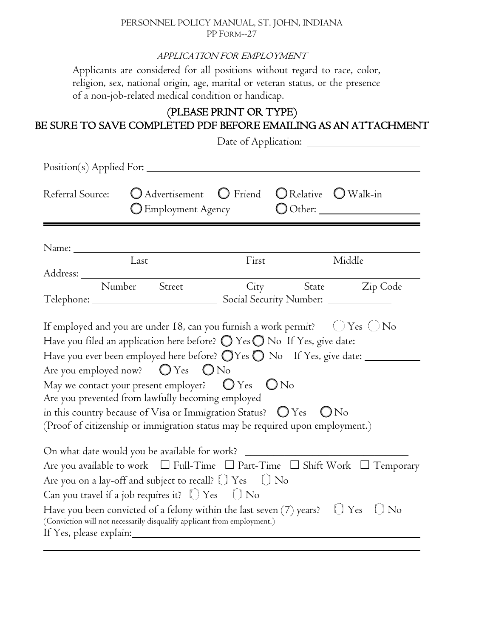#### PERSONNEL POLICY MANUAL, ST. JOHN, INDIANA PP FORM--27

#### APPLICATION FOR EMPLOYMENT

Applicants are considered for all positions without regard to race, color, religion, sex, national origin, age, marital or veteran status, or the presence of a non-job-related medical condition or handicap.

## (PLEASE PRINT OR TYPE) BE SURE TO SAVE COMPLETED PDF BEFORE EMAILING AS AN ATTACHMENT

| Position(s) Applied For:                                                                                                                                                                                                       |                                                                                                                                                                                                                                                                                                                                                                                                                                                                                                                                              |       |                                                          |                                                                                                                      |
|--------------------------------------------------------------------------------------------------------------------------------------------------------------------------------------------------------------------------------|----------------------------------------------------------------------------------------------------------------------------------------------------------------------------------------------------------------------------------------------------------------------------------------------------------------------------------------------------------------------------------------------------------------------------------------------------------------------------------------------------------------------------------------------|-------|----------------------------------------------------------|----------------------------------------------------------------------------------------------------------------------|
| Referral Source:                                                                                                                                                                                                               | O Advertisement O Friend<br>$\bigcirc$ Employment Agency                                                                                                                                                                                                                                                                                                                                                                                                                                                                                     |       | $\bigcirc$ Relative $\bigcirc$ Walk-in                   | $\bigcirc$ Other:                                                                                                    |
| Name: Name and the same of the same of the same of the same of the same of the same of the same of the same of the same of the same of the same of the same of the same of the same of the same of the same of the same of the |                                                                                                                                                                                                                                                                                                                                                                                                                                                                                                                                              |       |                                                          |                                                                                                                      |
|                                                                                                                                                                                                                                | Last                                                                                                                                                                                                                                                                                                                                                                                                                                                                                                                                         | First |                                                          | Middle                                                                                                               |
|                                                                                                                                                                                                                                | Number Street                                                                                                                                                                                                                                                                                                                                                                                                                                                                                                                                |       |                                                          | City State Zip Code                                                                                                  |
|                                                                                                                                                                                                                                | If employed and you are under 18, can you furnish a work permit? $\bigcirc$ Yes $\bigcirc$ No<br>Have you ever been employed here before? $\bigcirc$ Yes $\bigcirc$ No If Yes, give date: _______<br>Are you employed now? $\bigcirc$ Yes $\bigcirc$ No<br>May we contact your present employer? $\bigcirc$ Yes $\bigcirc$ No<br>Are you prevented from lawfully becoming employed<br>in this country because of Visa or Immigration Status? $\bigcirc$ Yes<br>(Proof of citizenship or immigration status may be required upon employment.) |       |                                                          | ON <sub>0</sub>                                                                                                      |
|                                                                                                                                                                                                                                | On what date would you be available for work?<br>Are you on a lay-off and subject to recall? $\bigcup$ Yes $\bigcup$ No<br>Can you travel if a job requires it? $\Box$ Yes $\Box$ No<br>Have you been convicted of a felony within the last seven $(7)$ years? $\Box$ Yes<br>(Conviction will not necessarily disqualify applicant from employment.)                                                                                                                                                                                         |       | <u> 1980 - Johann John Stein, mars eta biztanleria (</u> | Are you available to work $\Box$ Full-Time $\Box$ Part-Time $\Box$ Shift Work $\Box$ Temporary<br>$\left[\right]$ No |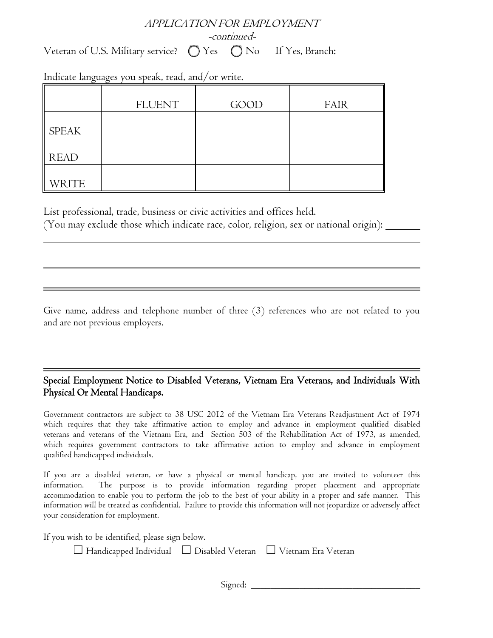# APPLICATION FOR EMPLOYMENT -continued-

Veteran of U.S. Military service?  $\bigcirc$  Yes  $\bigcirc$  No If Yes, Branch:

|              | <b>FLUENT</b> | <b>GOOD</b> | <b>FAIR</b> |
|--------------|---------------|-------------|-------------|
| <b>SPEAK</b> |               |             |             |
| <b>READ</b>  |               |             |             |
| <b>WRITE</b> |               |             |             |

Indicate languages you speak, read, and/or write.

 $\overline{a}$ 

 $\overline{a}$ 

 $\overline{a}$ 

 $\overline{a}$ 

List professional, trade, business or civic activities and offices held.

(You may exclude those which indicate race, color, religion, sex or national origin):

Give name, address and telephone number of three (3) references who are not related to you and are not previous employers.

### Special Employment Notice to Disabled Veterans, Vietnam Era Veterans, and Individuals With Physical Or Mental Handicaps.

Government contractors are subject to 38 USC 2012 of the Vietnam Era Veterans Readjustment Act of 1974 which requires that they take affirmative action to employ and advance in employment qualified disabled veterans and veterans of the Vietnam Era, and Section 503 of the Rehabilitation Act of 1973, as amended, which requires government contractors to take affirmative action to employ and advance in employment qualified handicapped individuals.

If you are a disabled veteran, or have a physical or mental handicap, you are invited to volunteer this information. The purpose is to provide information regarding proper placement and appropriate accommodation to enable you to perform the job to the best of your ability in a proper and safe manner. This information will be treated as confidential. Failure to provide this information will not jeopardize or adversely affect your consideration for employment.

If you wish to be identified, please sign below.

| $\Box$ Handicapped Individual $\Box$ Disabled Veteran $\Box$ Vietnam Era Veteran |  |  |
|----------------------------------------------------------------------------------|--|--|
|----------------------------------------------------------------------------------|--|--|

Signed: \_\_\_\_\_\_\_\_\_\_\_\_\_\_\_\_\_\_\_\_\_\_\_\_\_\_\_\_\_\_\_\_\_\_\_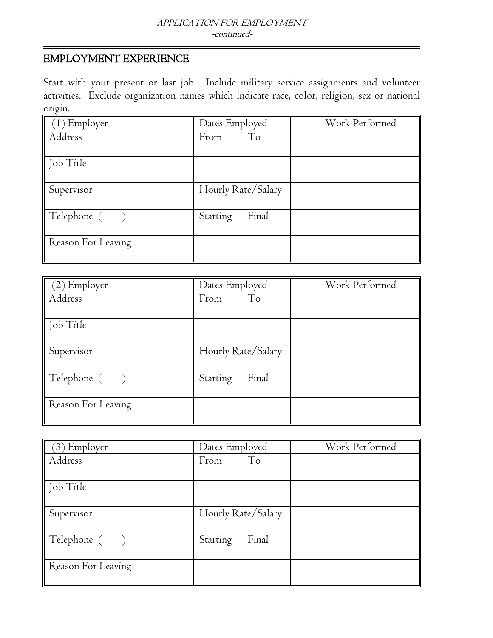## EMPLOYMENT EXPERIENCE

Start with your present or last job. Include military service assignments and volunteer activities. Exclude organization names which indicate race, color, religion, sex or national origin.

| Employer           | Dates Employed     |       | Work Performed |
|--------------------|--------------------|-------|----------------|
| Address            | From               | To    |                |
| Job Title          |                    |       |                |
| Supervisor         | Hourly Rate/Salary |       |                |
| Telephone ()       | Starting           | Final |                |
| Reason For Leaving |                    |       |                |

| $(2)$ Employer               | Dates Employed     |                | Work Performed |
|------------------------------|--------------------|----------------|----------------|
| Address                      | From               | T <sub>o</sub> |                |
| Job Title                    |                    |                |                |
| Supervisor                   | Hourly Rate/Salary |                |                |
| $\blacksquare$ Telephone $($ | Starting           | Final          |                |
| Reason For Leaving           |                    |                |                |

| (3) Employer       | Dates Employed         |       | Work Performed |
|--------------------|------------------------|-------|----------------|
| Address            | T <sub>o</sub><br>From |       |                |
|                    |                        |       |                |
| Job Title          |                        |       |                |
| Supervisor         | Hourly Rate/Salary     |       |                |
| Telephone ()       | Starting               | Final |                |
| Reason For Leaving |                        |       |                |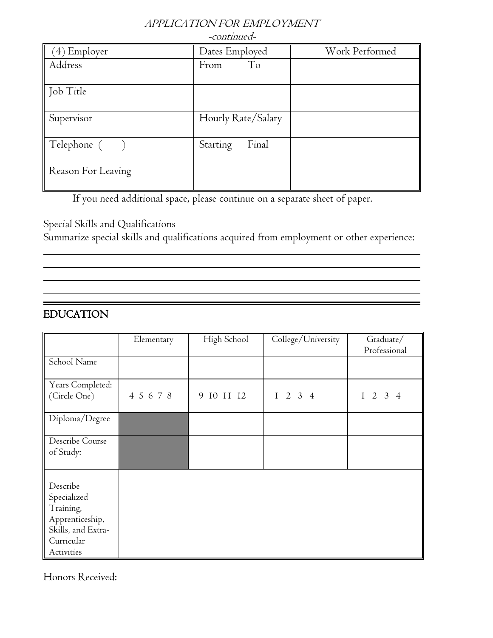## APPLICATION FOR EMPLOYMENT

 $\cdot$   $\cdot$   $\cdot$   $\cdot$   $\cdot$   $\cdot$ 

| -сопиниеа-         |                    |       |                |  |
|--------------------|--------------------|-------|----------------|--|
| $(4)$ Employer     | Dates Employed     |       | Work Performed |  |
| Address            | From               | To    |                |  |
| Job Title          |                    |       |                |  |
| Supervisor         | Hourly Rate/Salary |       |                |  |
| Telephone ( )      | Starting           | Final |                |  |
| Reason For Leaving |                    |       |                |  |

If you need additional space, please continue on a separate sheet of paper.

### Special Skills and Qualifications

Summarize special skills and qualifications acquired from employment or other experience:

## EDUCATION

 $\overline{a}$ 

 $\overline{a}$ 

|                                                                                                           | Elementary | High School | College/University | Graduate/<br>Professional |
|-----------------------------------------------------------------------------------------------------------|------------|-------------|--------------------|---------------------------|
| School Name                                                                                               |            |             |                    |                           |
| Years Completed:<br>(Circle One)                                                                          | 4 5 6 7 8  | 9 IO II I2  | $1 \t2 \t3 \t4$    | $1 \t2 \t3 \t4$           |
| Diploma/Degree                                                                                            |            |             |                    |                           |
| Describe Course<br>of Study:                                                                              |            |             |                    |                           |
| Describe<br>Specialized<br>Training,<br>Apprenticeship,<br>Skills, and Extra-<br>Curricular<br>Activities |            |             |                    |                           |

Honors Received: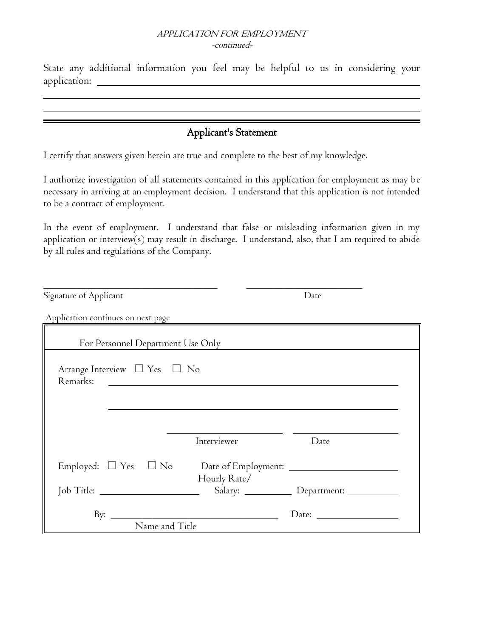#### APPLICATION FOR EMPLOYMENT -continued-

State any additional information you feel may be helpful to us in considering your application:

# Applicant's Statement

I certify that answers given herein are true and complete to the best of my knowledge.

ı ı

I authorize investigation of all statements contained in this application for employment as may be necessary in arriving at an employment decision. I understand that this application is not intended to be a contract of employment.

In the event of employment. I understand that false or misleading information given in my application or interview(s) may result in discharge. I understand, also, that I am required to abide by all rules and regulations of the Company.

| Signature of Applicant                             |                                                               | Date                                      |
|----------------------------------------------------|---------------------------------------------------------------|-------------------------------------------|
| Application continues on next page                 |                                                               |                                           |
| For Personnel Department Use Only                  |                                                               |                                           |
| Arrange Interview $\Box$ Yes $\Box$ No<br>Remarks: | <u> 1989 - Andrea Stadt British, fransk politik (d. 1989)</u> |                                           |
|                                                    | Interviewer                                                   | Date                                      |
|                                                    |                                                               |                                           |
| Job Title: __________________________              | Hourly Rate/                                                  | Salary: ____________ Department: ________ |
| By: $_{-}$<br>Name and Title                       | <u> 1980 - Johann John Stein, marwolaethau (b. 1980)</u>      |                                           |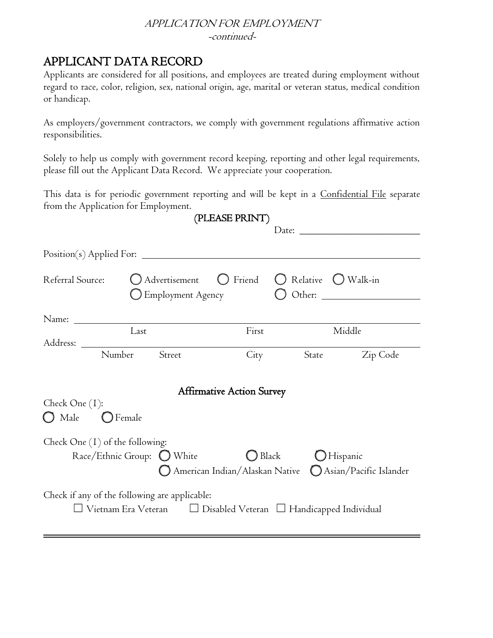#### APPLICATION FOR EMPLOYMENT -continued-

# APPLICANT DATA RECORD

Applicants are considered for all positions, and employees are treated during employment without regard to race, color, religion, sex, national origin, age, marital or veteran status, medical condition or handicap.

As employers/government contractors, we comply with government regulations affirmative action responsibilities.

Solely to help us comply with government record keeping, reporting and other legal requirements, please fill out the Applicant Data Record. We appreciate your cooperation.

This data is for periodic government reporting and will be kept in a Confidential File separate from the Application for Employment.  $\mathbf{r}$ 

|                                                        |                                                                                                                                   | (PLEASE PRINT)                                                                |                               |          |
|--------------------------------------------------------|-----------------------------------------------------------------------------------------------------------------------------------|-------------------------------------------------------------------------------|-------------------------------|----------|
|                                                        |                                                                                                                                   |                                                                               |                               |          |
| Referral Source:                                       | O Advertisement<br>$\bigcup$ Employment Agency                                                                                    |                                                                               | ◯ Friend ◯ Relative ◯ Walk-in |          |
|                                                        |                                                                                                                                   |                                                                               |                               |          |
|                                                        | Last                                                                                                                              | First                                                                         |                               | Middle   |
| Number                                                 | Street                                                                                                                            | City                                                                          | State                         | Zip Code |
| Check One (1):<br>$\bigcirc$ Male<br>$\bigcirc$ Female |                                                                                                                                   | <b>Affirmative Action Survey</b>                                              |                               |          |
| Check One $(1)$ of the following:                      | Race/Ethnic Group: O White                                                                                                        | $\bigcirc$ Black<br>◯ American Indian/Alaskan Native Q Asian/Pacific Islander | <b>O</b> Hispanic             |          |
|                                                        | Check if any of the following are applicable:<br>$\Box$ Vietnam Era Veteran $\Box$ Disabled Veteran $\Box$ Handicapped Individual |                                                                               |                               |          |